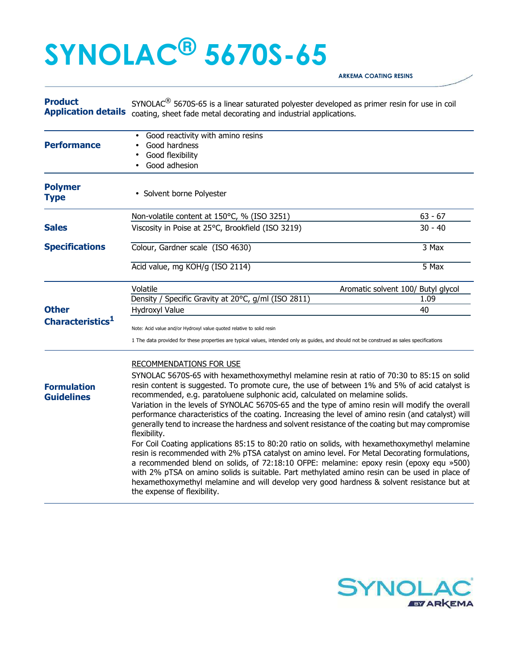## **SYNOLAC® 5670S-65**

**ARKEMA COATING RESINS** 

| <b>Product</b><br><b>Application details</b> | SYNOLAC <sup>®</sup> 5670S-65 is a linear saturated polyester developed as primer resin for use in coil<br>coating, sheet fade metal decorating and industrial applications.                                                                                                                                                                                                                                                                                                                                                                                                                                                                                                                                                                                                                                                                                                                                                                                                                                                                                                                                                         |           |  |
|----------------------------------------------|--------------------------------------------------------------------------------------------------------------------------------------------------------------------------------------------------------------------------------------------------------------------------------------------------------------------------------------------------------------------------------------------------------------------------------------------------------------------------------------------------------------------------------------------------------------------------------------------------------------------------------------------------------------------------------------------------------------------------------------------------------------------------------------------------------------------------------------------------------------------------------------------------------------------------------------------------------------------------------------------------------------------------------------------------------------------------------------------------------------------------------------|-----------|--|
| <b>Performance</b>                           | Good reactivity with amino resins<br>Good hardness<br>Good flexibility<br>Good adhesion                                                                                                                                                                                                                                                                                                                                                                                                                                                                                                                                                                                                                                                                                                                                                                                                                                                                                                                                                                                                                                              |           |  |
| <b>Polymer</b><br><b>Type</b>                | • Solvent borne Polyester                                                                                                                                                                                                                                                                                                                                                                                                                                                                                                                                                                                                                                                                                                                                                                                                                                                                                                                                                                                                                                                                                                            |           |  |
|                                              | Non-volatile content at 150°C, % (ISO 3251)                                                                                                                                                                                                                                                                                                                                                                                                                                                                                                                                                                                                                                                                                                                                                                                                                                                                                                                                                                                                                                                                                          | $63 - 67$ |  |
| <b>Sales</b>                                 | Viscosity in Poise at 25°C, Brookfield (ISO 3219)                                                                                                                                                                                                                                                                                                                                                                                                                                                                                                                                                                                                                                                                                                                                                                                                                                                                                                                                                                                                                                                                                    | $30 - 40$ |  |
| <b>Specifications</b>                        | Colour, Gardner scale (ISO 4630)                                                                                                                                                                                                                                                                                                                                                                                                                                                                                                                                                                                                                                                                                                                                                                                                                                                                                                                                                                                                                                                                                                     | $3$ Max   |  |
|                                              | Acid value, mg KOH/g (ISO 2114)                                                                                                                                                                                                                                                                                                                                                                                                                                                                                                                                                                                                                                                                                                                                                                                                                                                                                                                                                                                                                                                                                                      | 5 Max     |  |
|                                              | Volatile<br>Aromatic solvent 100/ Butyl glycol                                                                                                                                                                                                                                                                                                                                                                                                                                                                                                                                                                                                                                                                                                                                                                                                                                                                                                                                                                                                                                                                                       |           |  |
|                                              | Density / Specific Gravity at 20°C, g/ml (ISO 2811)                                                                                                                                                                                                                                                                                                                                                                                                                                                                                                                                                                                                                                                                                                                                                                                                                                                                                                                                                                                                                                                                                  | 1.09      |  |
| <b>Other</b>                                 | Hydroxyl Value                                                                                                                                                                                                                                                                                                                                                                                                                                                                                                                                                                                                                                                                                                                                                                                                                                                                                                                                                                                                                                                                                                                       | 40        |  |
| Characteristics <sup>1</sup>                 | Note: Acid value and/or Hydroxyl value quoted relative to solid resin                                                                                                                                                                                                                                                                                                                                                                                                                                                                                                                                                                                                                                                                                                                                                                                                                                                                                                                                                                                                                                                                |           |  |
|                                              | 1 The data provided for these properties are typical values, intended only as guides, and should not be construed as sales specifications                                                                                                                                                                                                                                                                                                                                                                                                                                                                                                                                                                                                                                                                                                                                                                                                                                                                                                                                                                                            |           |  |
|                                              | <b>RECOMMENDATIONS FOR USE</b>                                                                                                                                                                                                                                                                                                                                                                                                                                                                                                                                                                                                                                                                                                                                                                                                                                                                                                                                                                                                                                                                                                       |           |  |
| <b>Formulation</b><br><b>Guidelines</b>      | SYNOLAC 5670S-65 with hexamethoxymethyl melamine resin at ratio of 70:30 to 85:15 on solid<br>resin content is suggested. To promote cure, the use of between 1% and 5% of acid catalyst is<br>recommended, e.g. paratoluene sulphonic acid, calculated on melamine solids.<br>Variation in the levels of SYNOLAC 5670S-65 and the type of amino resin will modify the overall<br>performance characteristics of the coating. Increasing the level of amino resin (and catalyst) will<br>generally tend to increase the hardness and solvent resistance of the coating but may compromise<br>flexibility.<br>For Coil Coating applications 85:15 to 80:20 ratio on solids, with hexamethoxymethyl melamine<br>resin is recommended with 2% pTSA catalyst on amino level. For Metal Decorating formulations,<br>a recommended blend on solids, of 72:18:10 OFPE: melamine: epoxy resin (epoxy equ »500)<br>with 2% pTSA on amino solids is suitable. Part methylated amino resin can be used in place of<br>hexamethoxymethyl melamine and will develop very good hardness & solvent resistance but at<br>the expense of flexibility. |           |  |